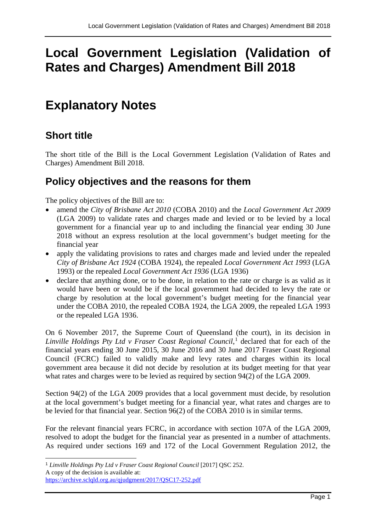# **Local Government Legislation (Validation of Rates and Charges) Amendment Bill 2018**

# **Explanatory Notes**

### **Short title**

The short title of the Bill is the Local Government Legislation (Validation of Rates and Charges) Amendment Bill 2018.

### **Policy objectives and the reasons for them**

The policy objectives of the Bill are to:

- amend the *City of Brisbane Act 2010* (COBA 2010) and the *Local Government Act 2009* (LGA 2009) to validate rates and charges made and levied or to be levied by a local government for a financial year up to and including the financial year ending 30 June 2018 without an express resolution at the local government's budget meeting for the financial year
- apply the validating provisions to rates and charges made and levied under the repealed *City of Brisbane Act 1924* (COBA 1924), the repealed *Local Government Act 1993* (LGA 1993) or the repealed *Local Government Act 1936* (LGA 1936)
- declare that anything done, or to be done, in relation to the rate or charge is as valid as it would have been or would be if the local government had decided to levy the rate or charge by resolution at the local government's budget meeting for the financial year under the COBA 2010, the repealed COBA 1924, the LGA 2009, the repealed LGA 1993 or the repealed LGA 1936.

On 6 November 2017, the Supreme Court of Queensland (the court), in its decision in Linville Holdings Pty Ltd v Fraser Coast Regional Council,<sup>[1](#page-0-0)</sup> declared that for each of the financial years ending 30 June 2015, 30 June 2016 and 30 June 2017 Fraser Coast Regional Council (FCRC) failed to validly make and levy rates and charges within its local government area because it did not decide by resolution at its budget meeting for that year what rates and charges were to be levied as required by section 94(2) of the LGA 2009.

Section 94(2) of the LGA 2009 provides that a local government must decide, by resolution at the local government's budget meeting for a financial year, what rates and charges are to be levied for that financial year. Section 96(2) of the COBA 2010 is in similar terms.

For the relevant financial years FCRC, in accordance with section 107A of the LGA 2009, resolved to adopt the budget for the financial year as presented in a number of attachments. As required under sections 169 and 172 of the Local Government Regulation 2012, the

<span id="page-0-0"></span><sup>&</sup>lt;sup>1</sup> Linville Holdings Pty Ltd v Fraser Coast Regional Council [2017] QSC 252. A copy of the decision is available at: <https://archive.sclqld.org.au/qjudgment/2017/QSC17-252.pdf>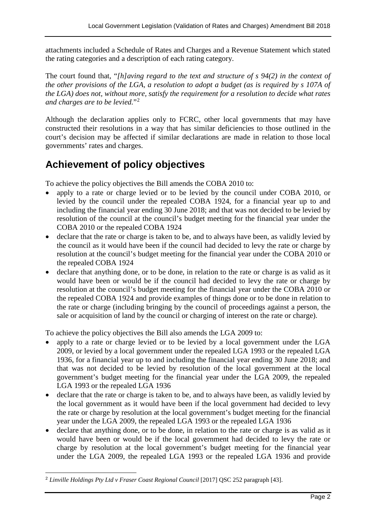attachments included a Schedule of Rates and Charges and a Revenue Statement which stated the rating categories and a description of each rating category.

The court found that, "*[h]aving regard to the text and structure of s 94(2) in the context of the other provisions of the LGA, a resolution to adopt a budget (as is required by s 107A of the LGA) does not, without more, satisfy the requirement for a resolution to decide what rates and charges are to be levied.*"[2](#page-1-0)

Although the declaration applies only to FCRC, other local governments that may have constructed their resolutions in a way that has similar deficiencies to those outlined in the court's decision may be affected if similar declarations are made in relation to those local governments' rates and charges.

## **Achievement of policy objectives**

To achieve the policy objectives the Bill amends the COBA 2010 to:

- apply to a rate or charge levied or to be levied by the council under COBA 2010, or levied by the council under the repealed COBA 1924, for a financial year up to and including the financial year ending 30 June 2018; and that was not decided to be levied by resolution of the council at the council's budget meeting for the financial year under the COBA 2010 or the repealed COBA 1924
- declare that the rate or charge is taken to be, and to always have been, as validly levied by the council as it would have been if the council had decided to levy the rate or charge by resolution at the council's budget meeting for the financial year under the COBA 2010 or the repealed COBA 1924
- declare that anything done, or to be done, in relation to the rate or charge is as valid as it would have been or would be if the council had decided to levy the rate or charge by resolution at the council's budget meeting for the financial year under the COBA 2010 or the repealed COBA 1924 and provide examples of things done or to be done in relation to the rate or charge (including bringing by the council of proceedings against a person, the sale or acquisition of land by the council or charging of interest on the rate or charge).

To achieve the policy objectives the Bill also amends the LGA 2009 to:

- apply to a rate or charge levied or to be levied by a local government under the LGA 2009, or levied by a local government under the repealed LGA 1993 or the repealed LGA 1936, for a financial year up to and including the financial year ending 30 June 2018; and that was not decided to be levied by resolution of the local government at the local government's budget meeting for the financial year under the LGA 2009, the repealed LGA 1993 or the repealed LGA 1936
- declare that the rate or charge is taken to be, and to always have been, as validly levied by the local government as it would have been if the local government had decided to levy the rate or charge by resolution at the local government's budget meeting for the financial year under the LGA 2009, the repealed LGA 1993 or the repealed LGA 1936
- declare that anything done, or to be done, in relation to the rate or charge is as valid as it would have been or would be if the local government had decided to levy the rate or charge by resolution at the local government's budget meeting for the financial year under the LGA 2009, the repealed LGA 1993 or the repealed LGA 1936 and provide

<span id="page-1-0"></span><sup>&</sup>lt;sup>2</sup> Linville Holdings Pty Ltd v Fraser Coast Regional Council [2017] OSC 252 paragraph [43].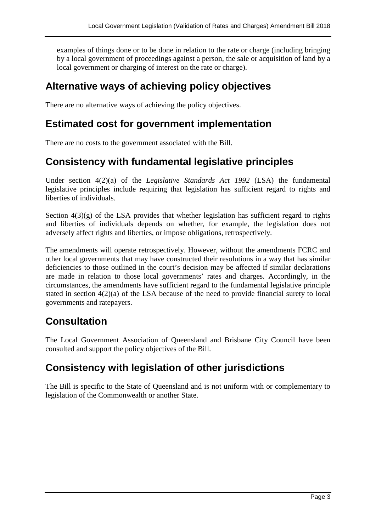examples of things done or to be done in relation to the rate or charge (including bringing by a local government of proceedings against a person, the sale or acquisition of land by a local government or charging of interest on the rate or charge).

### **Alternative ways of achieving policy objectives**

There are no alternative ways of achieving the policy objectives.

### **Estimated cost for government implementation**

There are no costs to the government associated with the Bill.

### **Consistency with fundamental legislative principles**

Under section 4(2)(a) of the *Legislative Standards Act 1992* (LSA) the fundamental legislative principles include requiring that legislation has sufficient regard to rights and liberties of individuals.

Section  $4(3)(g)$  of the LSA provides that whether legislation has sufficient regard to rights and liberties of individuals depends on whether, for example, the legislation does not adversely affect rights and liberties, or impose obligations, retrospectively.

The amendments will operate retrospectively. However, without the amendments FCRC and other local governments that may have constructed their resolutions in a way that has similar deficiencies to those outlined in the court's decision may be affected if similar declarations are made in relation to those local governments' rates and charges. Accordingly, in the circumstances, the amendments have sufficient regard to the fundamental legislative principle stated in section 4(2)(a) of the LSA because of the need to provide financial surety to local governments and ratepayers.

## **Consultation**

The Local Government Association of Queensland and Brisbane City Council have been consulted and support the policy objectives of the Bill.

## **Consistency with legislation of other jurisdictions**

The Bill is specific to the State of Queensland and is not uniform with or complementary to legislation of the Commonwealth or another State.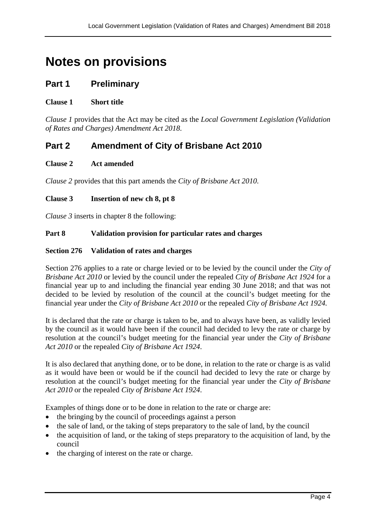# **Notes on provisions**

### **Part 1 Preliminary**

#### **Clause 1 Short title**

*Clause 1* provides that the Act may be cited as the *Local Government Legislation (Validation of Rates and Charges) Amendment Act 2018*.

### **Part 2 Amendment of City of Brisbane Act 2010**

#### **Clause 2 Act amended**

*Clause 2* provides that this part amends the *City of Brisbane Act 2010*.

#### **Clause 3 Insertion of new ch 8, pt 8**

*Clause 3* inserts in chapter 8 the following:

#### **Part 8 Validation provision for particular rates and charges**

#### **Section 276 Validation of rates and charges**

Section 276 applies to a rate or charge levied or to be levied by the council under the *City of Brisbane Act 2010* or levied by the council under the repealed *City of Brisbane Act 1924* for a financial year up to and including the financial year ending 30 June 2018; and that was not decided to be levied by resolution of the council at the council's budget meeting for the financial year under the *City of Brisbane Act 2010* or the repealed *City of Brisbane Act 1924.*

It is declared that the rate or charge is taken to be, and to always have been, as validly levied by the council as it would have been if the council had decided to levy the rate or charge by resolution at the council's budget meeting for the financial year under the *City of Brisbane Act 2010* or the repealed *City of Brisbane Act 1924*.

It is also declared that anything done, or to be done, in relation to the rate or charge is as valid as it would have been or would be if the council had decided to levy the rate or charge by resolution at the council's budget meeting for the financial year under the *City of Brisbane Act 2010* or the repealed *City of Brisbane Act 1924*.

Examples of things done or to be done in relation to the rate or charge are:

- the bringing by the council of proceedings against a person
- the sale of land, or the taking of steps preparatory to the sale of land, by the council
- the acquisition of land, or the taking of steps preparatory to the acquisition of land, by the council
- the charging of interest on the rate or charge.